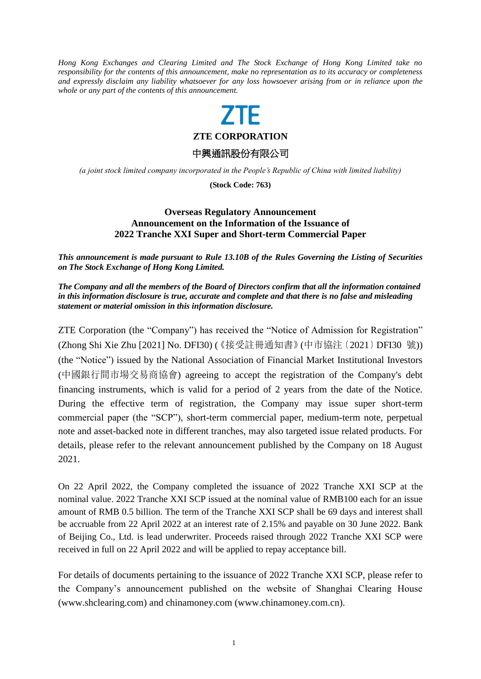*Hong Kong Exchanges and Clearing Limited and The Stock Exchange of Hong Kong Limited take no responsibility for the contents of this announcement, make no representation as to its accuracy or completeness and expressly disclaim any liability whatsoever for any loss howsoever arising from or in reliance upon the whole or any part of the contents of this announcement.*

## 7TF

**ZTE CORPORATION**

中興通訊股份有限公司

*(a joint stock limited company incorporated in the People's Republic of China with limited liability)*

**(Stock Code: 763)**

## **Overseas Regulatory Announcement Announcement on the Information of the Issuance of 2022 Tranche XXI Super and Short-term Commercial Paper**

*This announcement is made pursuant to Rule 13.10B of the Rules Governing the Listing of Securities on The Stock Exchange of Hong Kong Limited.*

*The Company and all the members of the Board of Directors confirm that all the information contained in this information disclosure is true, accurate and complete and that there is no false and misleading statement or material omission in this information disclosure.*

ZTE Corporation (the "Company") has received the "Notice of Admission for Registration" (Zhong Shi Xie Zhu [2021] No. DFI30) (《接受註冊通知書》(中市協注〔2021〕DFI30 號)) (the "Notice") issued by the National Association of Financial Market Institutional Investors (中國銀行間市場交易商協會) agreeing to accept the registration of the Company's debt financing instruments, which is valid for a period of 2 years from the date of the Notice. During the effective term of registration, the Company may issue super short-term commercial paper (the "SCP"), short-term commercial paper, medium-term note, perpetual note and asset-backed note in different tranches, may also targeted issue related products. For details, please refer to the relevant announcement published by the Company on 18 August 2021.

On 22 April 2022, the Company completed the issuance of 2022 Tranche XXI SCP at the nominal value. 2022 Tranche XXI SCP issued at the nominal value of RMB100 each for an issue amount of RMB 0.5 billion. The term of the Tranche XXI SCP shall be 69 days and interest shall be accruable from 22 April 2022 at an interest rate of 2.15% and payable on 30 June 2022. Bank of Beijing Co., Ltd. is lead underwriter. Proceeds raised through 2022 Tranche XXI SCP were received in full on 22 April 2022 and will be applied to repay acceptance bill.

For details of documents pertaining to the issuance of 2022 Tranche XXI SCP, please refer to the Company's announcement published on the website of Shanghai Clearing House (www.shclearing.com) and chinamoney.com [\(www.chinamoney.com.cn\)](http://www.chinamoney.com.cn/).